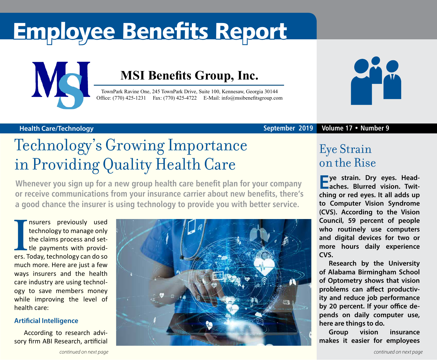# Employee Benefits Report



### **MSI Benefits Group, Inc.**

TownPark Ravine One, 245 TownPark Drive, Suite 100, Kennesaw, Georgia 30144 Office: (770) 425-1231 Fax: (770) 425-4722 E-Mail: [info@msibenefitsgroup.com](mailto:info@msibenefitsgroup.com)



### **Health Care/Technology September 2019 Volume 17 • Number 9**

## Technology's Growing Importance in Providing Quality Health Care

**Whenever you sign up for a new group health care benefit plan for your company or receive communications from your insurance carrier about new benefits, there's a good chance the insurer is using technology to provide you with better service.** 

**I** ers. Today, technology can do so nsurers previously used technology to manage only the claims process and settle payments with providmuch more. Here are just a few ways insurers and the health care industry are using technology to save members money while improving the level of health care:

### **Artificial Intelligence**

According to research advisory firm ABI Research, artificial



### Eye Strain on the Rise

**Eye strain. Dry eyes. Headaches. Blurred vision. Twitching or red eyes. It all adds up to Computer Vision Syndrome (CVS). According to the Vision Council, 59 percent of people who routinely use computers and digital devices for two or more hours daily experience CVS.**

**Research by the University of Alabama Birmingham School of Optometry shows that vision problems can affect productivity and reduce job performance by 20 percent. If your office depends on daily computer use, here are things to do.** 

**Group vision insurance makes it easier for employees**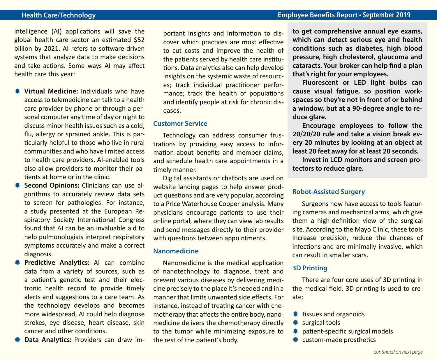intelligence (AI) applications will save the global health care sector an estimated \$52 billion by 2021. AI refers to software-driven systems that analyze data to make decisions and take actions. Some ways AI may affect health care this year:

- **Wirtual Medicine:** Individuals who have access to telemedicine can talk to a health care provider by phone or through a personal computer any time of day or night to discuss minor health issues such as a cold, flu, allergy or sprained ankle. This is particularly helpful to those who live in rural communities and who have limited access to health care providers. AI-enabled tools also allow providers to monitor their patients at home or in the clinic.
- **EXECTE Second Opinions:** Clinicians can use algorithms to accurately review data sets to screen for pathologies. For instance, a study presented at the European Respiratory Society International Congress found that AI can be an invaluable aid to help pulmonologists interpret respiratory symptoms accurately and make a correct diagnosis.
- **\* Predictive Analytics:** AI can combine data from a variety of sources, such as a patient's genetic test and their electronic health record to provide timely alerts and suggestions to a care team. As the technology develops and becomes more widespread, AI could help diagnose strokes, eye disease, heart disease, skin cancer and other conditions.
- **\* Data Analytics:** Providers can draw im-

portant insights and information to discover which practices are most effective to cut costs and improve the health of the patients served by health care institutions. Data analytics also can help develop insights on the systemic waste of resources; track individual practitioner performance; track the health of populations and identify people at risk for chronic diseases.

#### **Customer Service**

Technology can address consumer frustrations by providing easy access to information about benefits and member claims, and schedule health care appointments in a timely manner.

Digital assistants or chatbots are used on website landing pages to help answer product questions and are very popular, according to a Price Waterhouse Cooper analysis. Many physicians encourage patients to use their online portal, where they can view lab results and send messages directly to their provider with questions between appointments.

#### **Nanomedicine**

Nanomedicine is the medical application of nanotechnology to diagnose, treat and prevent various diseases by delivering medicine precisely to the place it's needed and in a manner that limits unwanted side effects. For instance, instead of treating cancer with chemotherapy that affects the entire body, nanomedicine delivers the chemotherapy directly to the tumor while minimizing exposure to the rest of the patient's body.

**to get comprehensive annual eye exams, which can detect serious eye and health conditions such as diabetes, high blood pressure, high cholesterol, glaucoma and cataracts. Your broker can help find a plan that's right for your employees.**

**Fluorescent or LED light bulbs can cause visual fatigue, so position workspaces so they're not in front of or behind a window, but at a 90-degree angle to reduce glare.**

**Encourage employees to follow the 20/20/20 rule and take a vision break every 20 minutes by looking at an object at least 20 feet away for at least 20 seconds.** 

**Invest in LCD monitors and screen protectors to reduce glare.** 

#### **Robot-Assisted Surgery**

Surgeons now have access to tools featuring cameras and mechanical arms, which give them a high-definition view of the surgical site. According to the Mayo Clinic, these tools increase precision, reduce the chances of infections and are minimally invasive, which can result in smaller scars.

### **3D Printing**

There are four core uses of 3D printing in the medical field. 3D printing is used to create:

- $*$  tissues and organoids
- \* surgical tools
- **\*\*** patient-specific surgical models
- \* custom-made prosthetics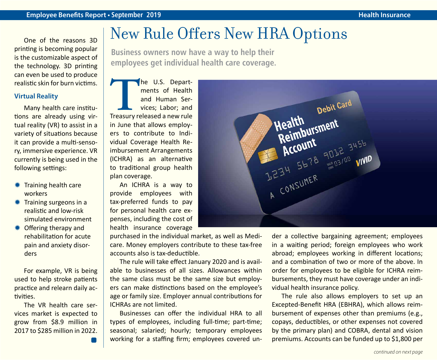One of the reasons 3D printing is becoming popular is the customizable aspect of the technology. 3D printing can even be used to produce realistic skin for burn victims.

#### **Virtual Reality**

Many health care institutions are already using virtual reality (VR) to assist in a variety of situations because it can provide a multi-sensory, immersive experience. VR currently is being used in the following settings:

- **\** Training health care workers
- $*$  Training surgeons in a realistic and low-risk simulated environment
- Offering therapy and rehabilitation for acute pain and anxiety disorders

For example, VR is being used to help stroke patients practice and relearn daily activities.

The VR health care services market is expected to grow from \$8.9 million in 2017 to \$285 million in 2022.

### New Rule Offers New HRA Options

**Business owners now have a way to help their employees get individual health care coverage.**

The U.S. Depart-<br>
ments of Health<br>
and Human Ser-<br>
vices; Labor; and<br>
Treasury released a new rule ments of Health and Human Services; Labor; and in June that allows employers to contribute to Individual Coverage Health Reimbursement Arrangements (ICHRA) as an alternative to traditional group health plan coverage.

An ICHRA is a way to provide employees with tax-preferred funds to pay for personal health care expenses, including the cost of health insurance coverage

purchased in the individual market, as well as Medicare. Money employers contribute to these tax-free accounts also is tax-deductible.

The rule will take effect January 2020 and is available to businesses of all sizes. Allowances within the same class must be the same size but employers can make distinctions based on the employee's age or family size. Employer annual contributions for ICHRAs are not limited.

Businesses can offer the individual HRA to all types of employees, including full-time; part-time; seasonal; salaried; hourly; temporary employees working for a staffing firm; employees covered un-



der a collective bargaining agreement; employees in a waiting period; foreign employees who work abroad; employees working in different locations; and a combination of two or more of the above. In order for employees to be eligible for ICHRA reimbursements, they must have coverage under an individual health insurance policy.

The rule also allows employers to set up an Excepted-Benefit HRA (EBHRA), which allows reimbursement of expenses other than premiums (e.g., copays, deductibles, or other expenses not covered by the primary plan) and COBRA, dental and vision premiums. Accounts can be funded up to \$1,800 per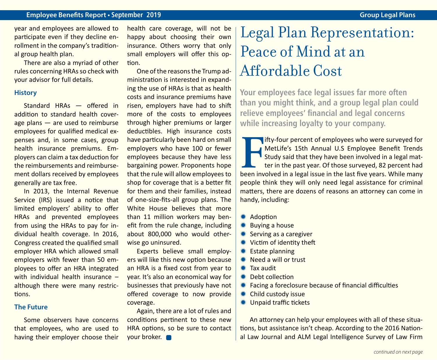#### **Employee Benefits Report • September 2019 Group Legal Plans**

year and employees are allowed to participate even if they decline enrollment in the company's traditional group health plan.

There are also a myriad of other rules concerning HRAs so check with your advisor for full details.

#### **History**

Standard HRAs — offered in addition to standard health coverage plans — are used to reimburse employees for qualified medical expenses and, in some cases, group health insurance premiums. Employers can claim a tax deduction for the reimbursements and reimbursement dollars received by employees generally are tax free.

In 2013, the Internal Revenue Service (IRS) issued a notice that limited employers' ability to offer HRAs and prevented employees from using the HRAs to pay for individual health coverage. In 2016, Congress created the qualified small employer HRA which allowed small employers with fewer than 50 employees to offer an HRA integrated with individual health insurance although there were many restrictions.

#### **The Future**

Some observers have concerns that employees, who are used to having their employer choose their

health care coverage, will not be happy about choosing their own insurance. Others worry that only small employers will offer this option.

One of the reasons the Trump administration is interested in expanding the use of HRAs is that as health costs and insurance premiums have risen, employers have had to shift more of the costs to employees through higher premiums or larger deductibles. High insurance costs have particularly been hard on small employers who have 100 or fewer employees because they have less bargaining power. Proponents hope that the rule will allow employees to shop for coverage that is a better fit for them and their families, instead of one-size-fits-all group plans. The White House believes that more than 11 million workers may benefit from the rule change, including about 800,000 who would otherwise go uninsured.

Experts believe small employers will like this new option because an HRA is a fixed cost from year to year. It's also an economical way for businesses that previously have not offered coverage to now provide coverage.

Again, there are a lot of rules and conditions pertinent to these new HRA options, so be sure to contact your broker.

## Legal Plan Representation: Peace of Mind at an Affordable Cost

**Your employees face legal issues far more often than you might think, and a group legal plan could relieve employees' financial and legal concerns while increasing loyalty to your company.**

**FIFT IT:** If the last five four percent of employees who were surveyed for MetLife's 15th Annual U.S Employee Benefit Trends Study said that they have been involved in a legal matter in the past year. Of those surveyed, 8 ifty-four percent of employees who were surveyed for MetLife's 15th Annual U.S Employee Benefit Trends  $\Box$  Study said that they have been involved in a legal matter in the past year. Of those surveyed, 82 percent had people think they will only need legal assistance for criminal matters, there are dozens of reasons an attorney can come in handy, including:

- \* Adoption
- $*$  **Buying a house**
- $*$  Serving as a caregiver
- **\*\*** Victim of identity theft
- $*$  Estate planning
- $*$  Need a will or trust
- $*$  Tax audit
- $*$  Debt collection
- $*$  Facing a foreclosure because of financial difficulties
- **★ Child custody issue**
- **₩** Unpaid traffic tickets

An attorney can help your employees with all of these situations, but assistance isn't cheap. According to the 2016 National Law Journal and ALM Legal Intelligence Survey of Law Firm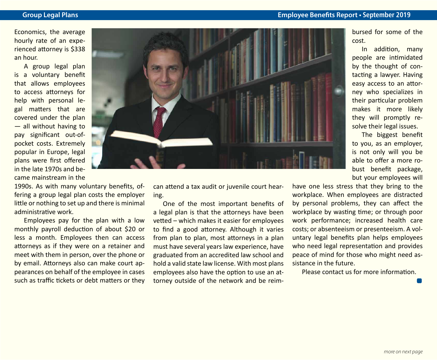Economics, the average hourly rate of an experienced attorney is \$338 an hour.

A group legal plan is a voluntary benefit that allows employees to access attorneys for help with personal legal matters that are covered under the plan — all without having to pay significant out-ofpocket costs. Extremely popular in Europe, legal plans were first offered in the late 1970s and became mainstream in the

1990s. As with many voluntary benefits, offering a group legal plan costs the employer little or nothing to set up and there is minimal administrative work.

Employees pay for the plan with a low monthly payroll deduction of about \$20 or less a month. Employees then can access attorneys as if they were on a retainer and meet with them in person, over the phone or by email. Attorneys also can make court appearances on behalf of the employee in cases such as traffic tickets or debt matters or they



can attend a tax audit or juvenile court hearing.

One of the most important benefits of a legal plan is that the attorneys have been vetted – which makes it easier for employees to find a good attorney. Although it varies from plan to plan, most attorneys in a plan must have several years law experience, have graduated from an accredited law school and hold a valid state law license. With most plans employees also have the option to use an attorney outside of the network and be reimbursed for some of the cost.

In addition, many people are intimidated by the thought of contacting a lawyer. Having easy access to an attorney who specializes in their particular problem makes it more likely they will promptly resolve their legal issues.

The biggest benefit to you, as an employer, is not only will you be able to offer a more robust benefit package, but your employees will

have one less stress that they bring to the workplace. When employees are distracted by personal problems, they can affect the workplace by wasting time; or through poor work performance; increased health care costs; or absenteeism or presenteeism. A voluntary legal benefits plan helps employees who need legal representation and provides peace of mind for those who might need assistance in the future.

Please contact us for more information.